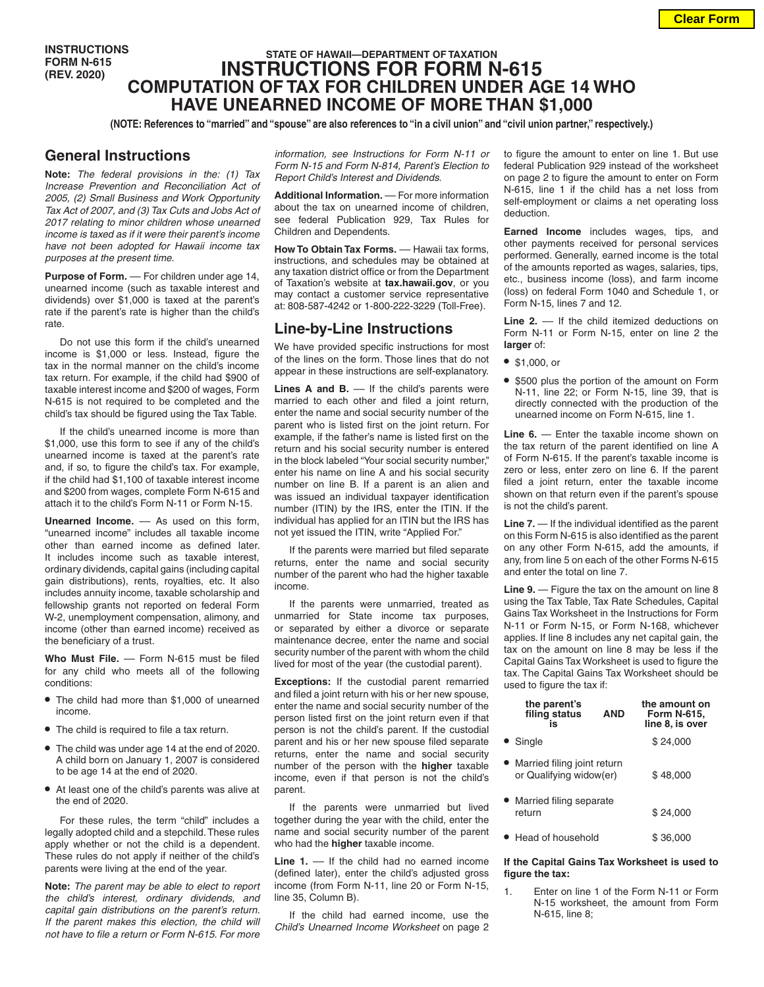**INSTRUCTIONS FORM N-615 (REV. 2020)**

# **STATE OF HAWAII—DEPARTMENT OF TAXATION INSTRUCTIONS FOR FORM N-615 COMPUTATION OF TAX FOR CHILDREN UNDER AGE 14 WHO HAVE UNEARNED INCOME OF MORE THAN \$1,000**

**(NOTE: References to "married" and "spouse" are also references to "in a civil union" and "civil union partner," respectively.)**

## **General Instructions**

**Note:** *The federal provisions in the: (1) Tax Increase Prevention and Reconciliation Act of 2005, (2) Small Business and Work Opportunity Tax Act of 2007, and (3) Tax Cuts and Jobs Act of 2017 relating to minor children whose unearned income is taxed as if it were their parent's income have not been adopted for Hawaii income tax purposes at the present time.*

Purpose of Form. - For children under age 14, unearned income (such as taxable interest and dividends) over \$1,000 is taxed at the parent's rate if the parent's rate is higher than the child's rate.

Do not use this form if the child's unearned income is \$1,000 or less. Instead, figure the tax in the normal manner on the child's income tax return. For example, if the child had \$900 of taxable interest income and \$200 of wages, Form N-615 is not required to be completed and the child's tax should be figured using the Tax Table.

If the child's unearned income is more than \$1,000, use this form to see if any of the child's unearned income is taxed at the parent's rate and, if so, to figure the child's tax. For example, if the child had \$1,100 of taxable interest income and \$200 from wages, complete Form N-615 and attach it to the child's Form N-11 or Form N-15.

**Unearned Income.** –– As used on this form, "unearned income" includes all taxable income other than earned income as defined later. It includes income such as taxable interest, ordinary dividends, capital gains (including capital gain distributions), rents, royalties, etc. It also includes annuity income, taxable scholarship and fellowship grants not reported on federal Form W-2, unemployment compensation, alimony, and income (other than earned income) received as the beneficiary of a trust.

Who Must File. - Form N-615 must be filed for any child who meets all of the following conditions:

- **•** The child had more than \$1,000 of unearned income.
- **•** The child is required to file a tax return.
- **•** The child was under age 14 at the end of 2020. A child born on January 1, 2007 is considered to be age 14 at the end of 2020.
- **•** At least one of the child's parents was alive at the end of 2020.

For these rules, the term "child" includes a legally adopted child and a stepchild. These rules apply whether or not the child is a dependent. These rules do not apply if neither of the child's parents were living at the end of the year.

**Note:** *The parent may be able to elect to report the child's interest, ordinary dividends, and capital gain distributions on the parent's return. If the parent makes this election, the child will not have to file a return or Form N-615. For more*  *information, see Instructions for Form N-11 or Form N-15 and Form N-814, Parent's Election to Report Child's Interest and Dividends.*

**Additional Information.** –– For more information about the tax on unearned income of children, see federal Publication 929, Tax Rules for Children and Dependents.

**How To Obtain Tax Forms.** –– Hawaii tax forms, instructions, and schedules may be obtained at any taxation district office or from the Department of Taxation's website at **tax.hawaii.gov**, or you may contact a customer service representative at: 808-587-4242 or 1-800-222-3229 (Toll-Free).

## **Line-by-Line Instructions**

We have provided specific instructions for most of the lines on the form. Those lines that do not appear in these instructions are self-explanatory.

Lines A and B. — If the child's parents were married to each other and filed a joint return, enter the name and social security number of the parent who is listed first on the joint return. For example, if the father's name is listed first on the return and his social security number is entered in the block labeled "Your social security number," enter his name on line A and his social security number on line B. If a parent is an alien and was issued an individual taxpayer identification number (ITIN) by the IRS, enter the ITIN. If the individual has applied for an ITIN but the IRS has not yet issued the ITIN, write "Applied For."

If the parents were married but filed separate returns, enter the name and social security number of the parent who had the higher taxable income.

If the parents were unmarried, treated as unmarried for State income tax purposes, or separated by either a divorce or separate maintenance decree, enter the name and social security number of the parent with whom the child lived for most of the year (the custodial parent).

**Exceptions:** If the custodial parent remarried and filed a joint return with his or her new spouse, enter the name and social security number of the person listed first on the joint return even if that person is not the child's parent. If the custodial parent and his or her new spouse filed separate returns, enter the name and social security number of the person with the **higher** taxable income, even if that person is not the child's parent.

If the parents were unmarried but lived together during the year with the child, enter the name and social security number of the parent who had the **higher** taxable income.

**Line 1.** –– If the child had no earned income (defined later), enter the child's adjusted gross income (from Form N-11, line 20 or Form N-15, line 35, Column B).

If the child had earned income, use the *Child's Unearned Income Worksheet* on page 2 to figure the amount to enter on line 1. But use federal Publication 929 instead of the worksheet on page 2 to figure the amount to enter on Form N-615, line 1 if the child has a net loss from self-employment or claims a net operating loss deduction.

**Earned Income** includes wages, tips, and other payments received for personal services performed. Generally, earned income is the total of the amounts reported as wages, salaries, tips, etc., business income (loss), and farm income (loss) on federal Form 1040 and Schedule 1, or Form N-15, lines 7 and 12.

Line 2. –– If the child itemized deductions on Form N-11 or Form N-15, enter on line 2 the **larger** of:

- **•** \$1,000, or
- **•** \$500 plus the portion of the amount on Form N-11, line 22; or Form N-15, line 39, that is directly connected with the production of the unearned income on Form N-615, line 1.

**Line 6.** — Enter the taxable income shown on the tax return of the parent identified on line A of Form N-615. If the parent's taxable income is zero or less, enter zero on line 6. If the parent filed a joint return, enter the taxable income shown on that return even if the parent's spouse is not the child's parent.

**Line 7.** — If the individual identified as the parent on this Form N-615 is also identified as the parent on any other Form N-615, add the amounts, if any, from line 5 on each of the other Forms N-615 and enter the total on line 7.

**Line 9.** — Figure the tax on the amount on line 8 using the Tax Table, Tax Rate Schedules, Capital Gains Tax Worksheet in the Instructions for Form N-11 or Form N-15, or Form N-168, whichever applies. If line 8 includes any net capital gain, the tax on the amount on line 8 may be less if the Capital Gains Tax Worksheet is used to figure the tax. The Capital Gains Tax Worksheet should be used to figure the tax if:

| the parent's<br>filing status<br>is                      | <b>AND</b> | the amount on<br><b>Form N-615,</b><br>line 8, is over |
|----------------------------------------------------------|------------|--------------------------------------------------------|
| • Single                                                 |            | \$24.000                                               |
| • Married filing joint return<br>or Qualifying widow(er) |            | \$48.000                                               |
| Married filing separate<br>return                        |            | \$24.000                                               |
| ● Head of household                                      |            | \$36.000                                               |

#### **If the Capital Gains Tax Worksheet is used to figure the tax:**

1. Enter on line 1 of the Form N-11 or Form N-15 worksheet, the amount from Form N-615, line 8;